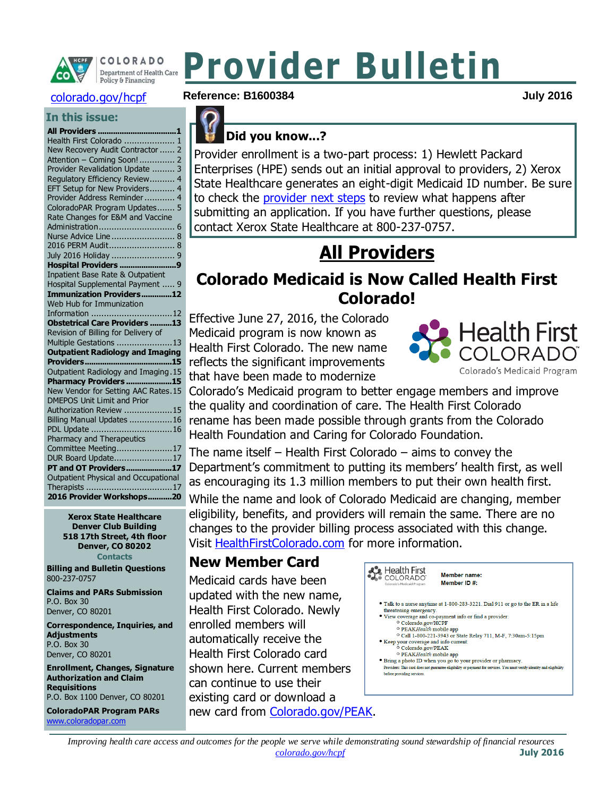

COLORADO Department of Health Care Policy & Financing

#### [colorado.gov/hcpf](http://www.colorado.gov/hcpf)

#### **In this issue:**

| Health First Colorado  1                               |
|--------------------------------------------------------|
| New Recovery Audit Contractor  2                       |
| Attention - Coming Soon! 2                             |
| Provider Revalidation Update<br>3                      |
| Regulatory Efficiency Review<br>4                      |
| EFT Setup for New Providers<br>$\overline{\mathbf{4}}$ |
| Provider Address Reminder<br>$\overline{4}$            |
| ColoradoPAR Program Updates<br>5                       |
| Rate Changes for E&M and Vaccine                       |
|                                                        |
| Nurse Advice Line 8                                    |
|                                                        |
|                                                        |
| Hospital Providers 9                                   |
| Inpatient Base Rate & Outpatient                       |
| Hospital Supplemental Payment  9                       |
| <b>Immunization Providers12</b>                        |
| Web Hub for Immunization                               |
| Information 12                                         |
| <b>Obstetrical Care Providers 13</b>                   |
| Revision of Billing for Delivery of                    |
| Multiple Gestations 13                                 |
| <b>Outpatient Radiology and Imaging</b>                |
|                                                        |
| Outpatient Radiology and Imaging.15                    |
| Pharmacy Providers 15                                  |
| New Vendor for Setting AAC Rates.15                    |
| <b>DMEPOS Unit Limit and Prior</b>                     |
| Authorization Review 15                                |
| Billing Manual Updates 16                              |
| PDL Update 16                                          |
| <b>Pharmacy and Therapeutics</b>                       |
| Committee Meeting17                                    |
| DUR Board Update17                                     |
| PT and OT Providers17                                  |
| Outpatient Physical and Occupational                   |
|                                                        |
| 2016 Provider Workshops20                              |

**Xerox State Healthcare Denver Club Building 518 17th Street, 4th floor Denver, CO 80202 Contacts**

**Billing and Bulletin Questions** 800-237-0757

**Claims and PARs Submission** P.O. Box 30 Denver, CO 80201

**Correspondence, Inquiries, and Adjustments** P.O. Box 30 Denver, CO 80201

**Enrollment, Changes, Signature Authorization and Claim** 

**Requisitions** P.O. Box 1100 Denver, CO 80201 **ColoradoPAR Program PARs**  [www.coloradopar.com](http://www.coloradopar.com/)

#### **Reference: B1600384 July 2016**

#### **Did you know...?**

Provider enrollment is a two-part process: 1) Hewlett Packard Enterprises (HPE) sends out an initial approval to providers, 2) Xerox State Healthcare generates an eight-digit Medicaid ID number. Be sure to check the [provider next steps](https://www.colorado.gov/hcpf/provider-next-steps) to review what happens after submitting an application. If you have further questions, please contact Xerox State Healthcare at 800-237-0757.

**Provider Bulletin**

# **All Providers**

## <span id="page-0-1"></span><span id="page-0-0"></span>**Colorado Medicaid is Now Called Health First Colorado!**

Effective June 27, 2016, the Colorado Medicaid program is now known as Health First Colorado. The new name reflects the significant improvements that have been made to modernize



Colorado's Medicaid program to better engage members and improve the quality and coordination of care. The Health First Colorado rename has been made possible through grants from the Colorado Health Foundation and Caring for Colorado Foundation.

The name itself – Health First Colorado – aims to convey the Department's commitment to putting its members' health first, as well as encouraging its 1.3 million members to put their own health first.

While the name and look of Colorado Medicaid are changing, member eligibility, benefits, and providers will remain the same. There are no changes to the provider billing process associated with this change. Visit [HealthFirstColorado.com](http://www.healthfirstcolorado.com/) for more information.

#### **New Member Card**

Medicaid cards have been updated with the new name, Health First Colorado. Newly enrolled members will automatically receive the Health First Colorado card shown here. Current members can continue to use their existing card or download a new card from [Colorado.gov/PEAK.](https://coloradopeak.secure.force.com/)



- The distribution of 1505 2005/221. Duties the threatening emergency.<br>View coverage and co-payment info or find a provider<br><sup>O</sup> Colorado.gov/HCPF
- 
- O PEAKHealth mobile app<br>
O Call 1-800-221-3943 or State Relay 711, M-F, 7:30am-5:15pm • Keep your coverage and info current:<br>
O Colorado.gov/PEAK
	- o PEAKHealth mobile app
- Bring a photo ID when you go to your provider or pharmacy.<br>Providers: This card does not guarantee eligibility or payment for services. You must ve Providers: This card does not guara before providing services.

*Improving health care access and outcomes for the people we serve while demonstrating sound stewardship of financial resources [colorado.gov/hcpf](http://colorado.gov/hcpf)* **July 2016**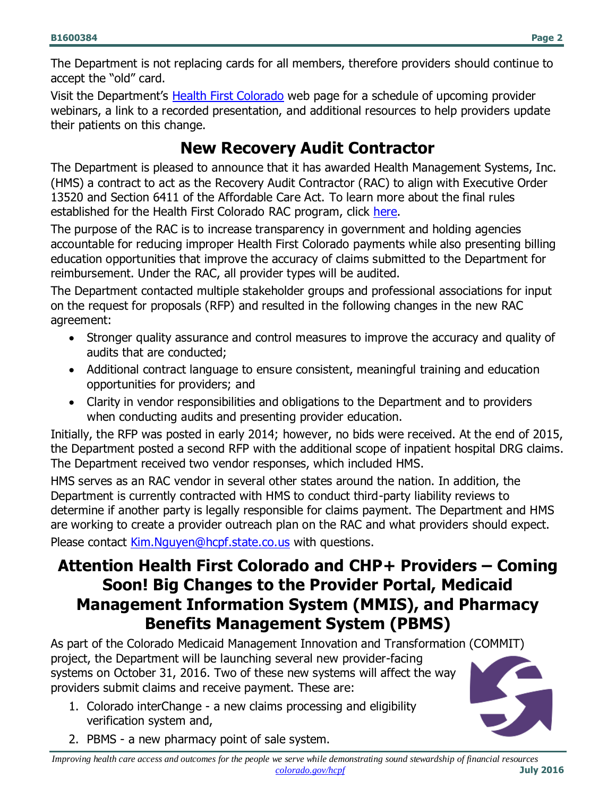The Department is not replacing cards for all members, therefore providers should continue to accept the "old" card.

Visit the Department's [Health First Colorado](http://www.colorado.gov/hcpf/hfc-stakeholders) web page for a schedule of upcoming provider webinars, a link to a recorded presentation, and additional resources to help providers update their patients on this change.

## **New Recovery Audit Contractor**

<span id="page-1-0"></span>The Department is pleased to announce that it has awarded Health Management Systems, Inc. (HMS) a contract to act as the Recovery Audit Contractor (RAC) to align with Executive Order 13520 and Section 6411 of the Affordable Care Act. To learn more about the final rules established for the Health First Colorado RAC program, click [here.](https://www.federalregister.gov/articles/2011/09/16/2011-23695/medicaid-program-recovery-audit-contractors)

The purpose of the RAC is to increase transparency in government and holding agencies accountable for reducing improper Health First Colorado payments while also presenting billing education opportunities that improve the accuracy of claims submitted to the Department for reimbursement. Under the RAC, all provider types will be audited.

The Department contacted multiple stakeholder groups and professional associations for input on the request for proposals (RFP) and resulted in the following changes in the new RAC agreement:

- Stronger quality assurance and control measures to improve the accuracy and quality of audits that are conducted;
- Additional contract language to ensure consistent, meaningful training and education opportunities for providers; and
- Clarity in vendor responsibilities and obligations to the Department and to providers when conducting audits and presenting provider education.

Initially, the RFP was posted in early 2014; however, no bids were received. At the end of 2015, the Department posted a second RFP with the additional scope of inpatient hospital DRG claims. The Department received two vendor responses, which included HMS.

HMS serves as an RAC vendor in several other states around the nation. In addition, the Department is currently contracted with HMS to conduct third-party liability reviews to determine if another party is legally responsible for claims payment. The Department and HMS are working to create a provider outreach plan on the RAC and what providers should expect. Please contact [Kim.Nguyen@hcpf.state.co.us](mailto:Kim.Nguyen@hcpf.state.co.us) with questions.

## <span id="page-1-1"></span>**Attention Health First Colorado and CHP+ Providers – Coming Soon! Big Changes to the Provider Portal, Medicaid Management Information System (MMIS), and Pharmacy Benefits Management System (PBMS)**

As part of the Colorado Medicaid Management Innovation and Transformation (COMMIT) project, the Department will be launching several new provider-facing systems on October 31, 2016. Two of these new systems will affect the way providers submit claims and receive payment. These are:

1. Colorado interChange - a new claims processing and eligibility verification system and,



2. PBMS - a new pharmacy point of sale system.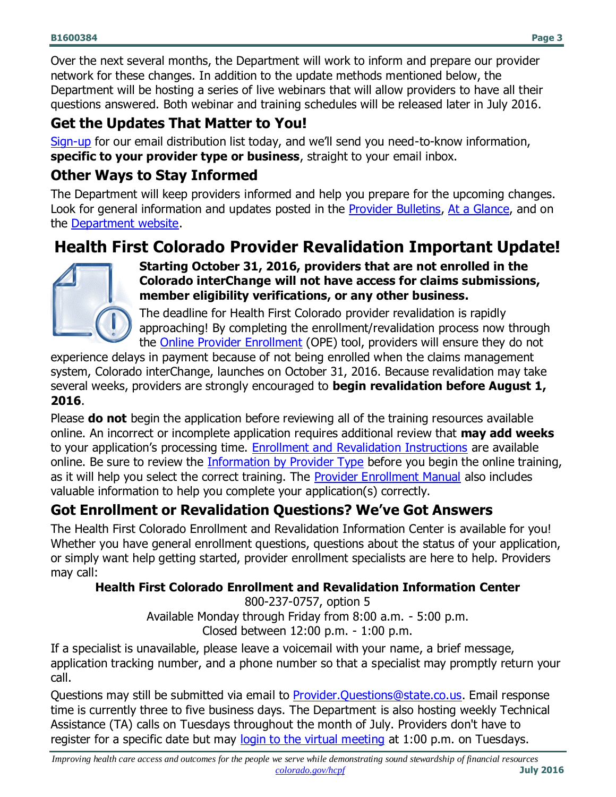Over the next several months, the Department will work to inform and prepare our provider network for these changes. In addition to the update methods mentioned below, the Department will be hosting a series of live webinars that will allow providers to have all their questions answered. Both webinar and training schedules will be released later in July 2016.

### **Get the Updates That Matter to You!**

[Sign-up](http://goo.gl/forms/zp5jIwcyxI) for our email distribution list today, and we'll send you need-to-know information, **specific to your provider type or business**, straight to your email inbox.

### **Other Ways to Stay Informed**

The Department will keep providers informed and help you prepare for the upcoming changes. Look for general information and updates posted in the [Provider Bulletins,](https://www.colorado.gov/hcpf/bulletins) [At a Glance,](https://www.colorado.gov/hcpf/publications) and on the [Department website.](https://www.colorado.gov/hcpf/our-providers)

# <span id="page-2-0"></span>**Health First Colorado Provider Revalidation Important Update!**



**Starting October 31, 2016, providers that are not enrolled in the Colorado interChange will not have access for claims submissions, member eligibility verifications, or any other business.** 

The deadline for Health First Colorado provider revalidation is rapidly approaching! By completing the enrollment/revalidation process now through the [Online Provider Enrollment](https://colorado-provider-portal.xco.dcs-usps.com/hcp_v500/provider/Home) (OPE) tool, providers will ensure they do not

experience delays in payment because of not being enrolled when the claims management system, Colorado interChange, launches on October 31, 2016. Because revalidation may take several weeks, providers are strongly encouraged to **begin revalidation before August 1, 2016**.

Please **do not** begin the application before reviewing all of the training resources available online. An incorrect or incomplete application requires additional review that **may add weeks** to your application's processing time. [Enrollment and Revalidation Instructions](https://www.colorado.gov/hcpf/revalidation-and-enrollment-instructions) are available online. Be sure to review the [Information by Provider Type](https://www.colorado.gov/pacific/hcpf/information-provider-type) before you begin the online training, as it will help you select the correct training. The [Provider Enrollment Manual](https://cohcpf.adobeconnect.com/p8eeuhgqa5f/) also includes valuable information to help you complete your application(s) correctly.

## **Got Enrollment or Revalidation Questions? We've Got Answers**

The Health First Colorado Enrollment and Revalidation Information Center is available for you! Whether you have general enrollment questions, questions about the status of your application, or simply want help getting started, provider enrollment specialists are here to help. Providers may call:

#### **Health First Colorado Enrollment and Revalidation Information Center**

800-237-0757, option 5 Available Monday through Friday from 8:00 a.m. - 5:00 p.m. Closed between 12:00 p.m. - 1:00 p.m.

If a specialist is unavailable, please leave a voicemail with your name, a brief message, application tracking number, and a phone number so that a specialist may promptly return your call.

Questions may still be submitted via email to **Provider. Questions@state.co.us.** Email response time is currently three to five business days. The Department is also hosting weekly Technical Assistance (TA) calls on Tuesdays throughout the month of July. Providers don't have to register for a specific date but may [login to the virtual meeting](https://cohcpf.adobeconnect.com/provider-revalidation/) at 1:00 p.m. on Tuesdays.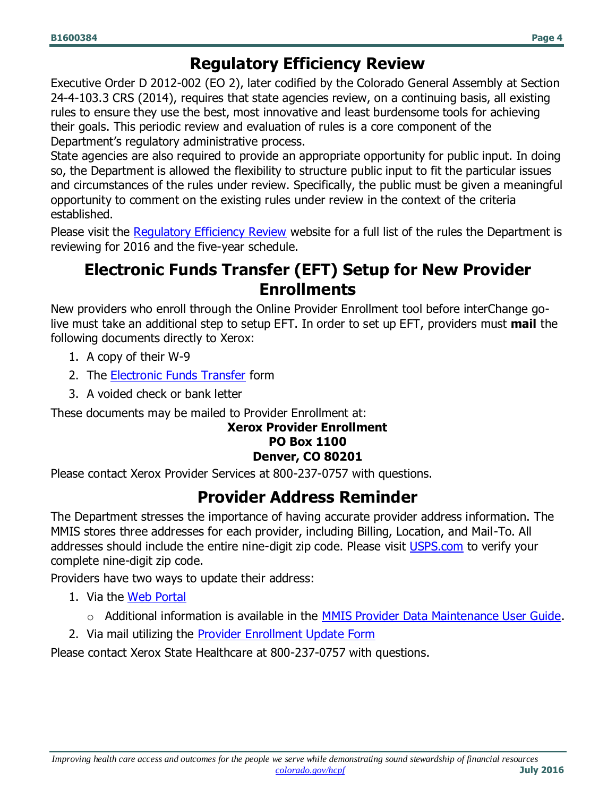## **Regulatory Efficiency Review**

<span id="page-3-0"></span>Executive Order D 2012-002 (EO 2), later codified by the Colorado General Assembly at Section 24-4-103.3 CRS (2014), requires that state agencies review, on a continuing basis, all existing rules to ensure they use the best, most innovative and least burdensome tools for achieving their goals. This periodic review and evaluation of rules is a core component of the Department's regulatory administrative process.

State agencies are also required to provide an appropriate opportunity for public input. In doing so, the Department is allowed the flexibility to structure public input to fit the particular issues and circumstances of the rules under review. Specifically, the public must be given a meaningful opportunity to comment on the existing rules under review in the context of the criteria established.

<span id="page-3-1"></span>Please visit the [Regulatory Efficiency Review](https://www.colorado.gov/pacific/hcpf/regulatory-efficiency-review) website for a full list of the rules the Department is reviewing for 2016 and the five-year schedule.

## **Electronic Funds Transfer (EFT) Setup for New Provider Enrollments**

New providers who enroll through the Online Provider Enrollment tool before interChange golive must take an additional step to setup EFT. In order to set up EFT, providers must **mail** the following documents directly to Xerox:

- 1. A copy of their W-9
- 2. The **Electronic Funds Transfer** form
- 3. A voided check or bank letter

These documents may be mailed to Provider Enrollment at:

#### **Xerox Provider Enrollment PO Box 1100 Denver, CO 80201**

<span id="page-3-2"></span>Please contact Xerox Provider Services at 800-237-0757 with questions.

## **Provider Address Reminder**

The Department stresses the importance of having accurate provider address information. The MMIS stores three addresses for each provider, including Billing, Location, and Mail-To. All addresses should include the entire nine-digit zip code. Please visit [USPS.com](https://tools.usps.com/go/ZipLookupAction_input) to verify your complete nine-digit zip code.

Providers have two ways to update their address:

- 1. Via the [Web Portal](https://sp0.hcpf.state.co.us/Mercury/login.aspx)
	- o Additional information is available in the **MMIS Provider Data Maintenance User Guide**.
- 2. Via mail utilizing the [Provider Enrollment Update Form](https://www.colorado.gov/pacific/sites/default/files/Provider_Enrollment_Update_Form_bl.pdf)

Please contact Xerox State Healthcare at 800-237-0757 with questions.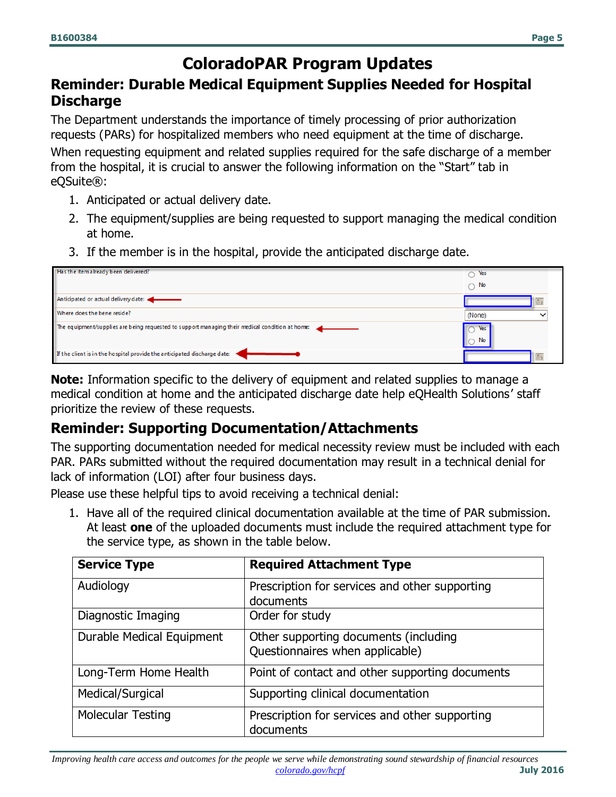## **ColoradoPAR Program Updates**

#### <span id="page-4-0"></span>**Reminder: Durable Medical Equipment Supplies Needed for Hospital Discharge**

The Department understands the importance of timely processing of prior authorization requests (PARs) for hospitalized members who need equipment at the time of discharge. When requesting equipment and related supplies required for the safe discharge of a member

from the hospital, it is crucial to answer the following information on the "Start" tab in eQSuite®:

- 1. Anticipated or actual delivery date.
- 2. The equipment/supplies are being requested to support managing the medical condition at home.
- 3. If the member is in the hospital, provide the anticipated discharge date.

| Has the itemalready been delivered?                                                             | Yes<br>∍<br>No<br>↷ |  |
|-------------------------------------------------------------------------------------------------|---------------------|--|
| Anticipated or actual delivery date:                                                            |                     |  |
| Where does the bene reside?                                                                     | (None)              |  |
| The equipment/supplies are being requested to support managing their medical condition at home: | Yes<br>No           |  |
| If the client is in the hospital provide the anticipated discharge date:                        |                     |  |

**Note:** Information specific to the delivery of equipment and related supplies to manage a medical condition at home and the anticipated discharge date help eQHealth Solutions' staff prioritize the review of these requests.

## **Reminder: Supporting Documentation/Attachments**

The supporting documentation needed for medical necessity review must be included with each PAR. PARs submitted without the required documentation may result in a technical denial for lack of information (LOI) after four business days.

Please use these helpful tips to avoid receiving a technical denial:

1. Have all of the required clinical documentation available at the time of PAR submission. At least **one** of the uploaded documents must include the required attachment type for the service type, as shown in the table below.

| <b>Service Type</b>       | <b>Required Attachment Type</b>                                          |
|---------------------------|--------------------------------------------------------------------------|
| Audiology                 | Prescription for services and other supporting<br>documents              |
| Diagnostic Imaging        | Order for study                                                          |
| Durable Medical Equipment | Other supporting documents (including<br>Questionnaires when applicable) |
| Long-Term Home Health     | Point of contact and other supporting documents                          |
| Medical/Surgical          | Supporting clinical documentation                                        |
| <b>Molecular Testing</b>  | Prescription for services and other supporting<br>documents              |

*Improving health care access and outcomes for the people we serve while demonstrating sound stewardship of financial resources [colorado.gov/hcpf](http://colorado.gov/hcpf)* **July 2016**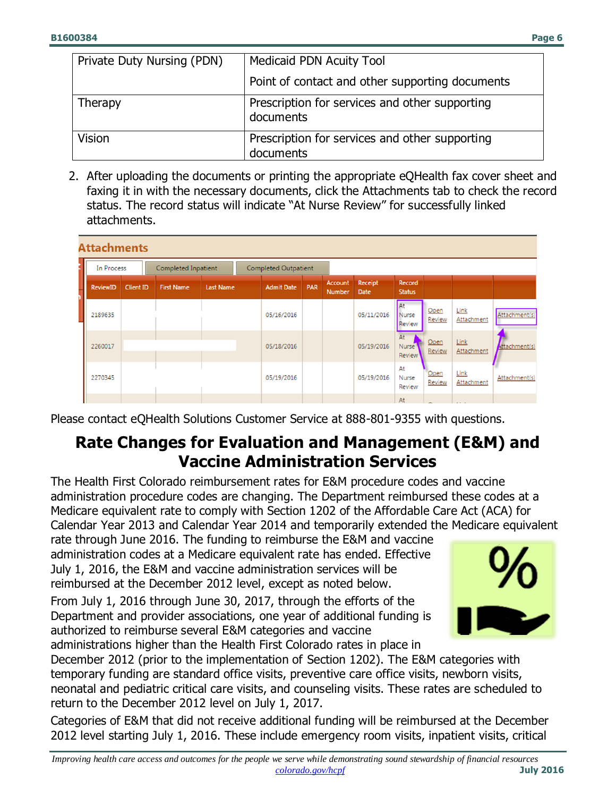| Private Duty Nursing (PDN) | Medicaid PDN Acuity Tool                                    |
|----------------------------|-------------------------------------------------------------|
|                            | Point of contact and other supporting documents             |
| <b>Therapy</b>             | Prescription for services and other supporting<br>documents |
| Vision                     | Prescription for services and other supporting              |
|                            | documents                                                   |

2. After uploading the documents or printing the appropriate eQHealth fax cover sheet and faxing it in with the necessary documents, click the Attachments tab to check the record status. The record status will indicate "At Nurse Review" for successfully linked attachments.

|                                                                  | <b>Attachments</b> |                  |                   |                  |  |                   |            |                          |                        |                                     |                |                     |               |
|------------------------------------------------------------------|--------------------|------------------|-------------------|------------------|--|-------------------|------------|--------------------------|------------------------|-------------------------------------|----------------|---------------------|---------------|
| In Process<br><b>Completed Outpatient</b><br>Completed Inpatient |                    |                  |                   |                  |  |                   |            |                          |                        |                                     |                |                     |               |
|                                                                  | <b>ReviewID</b>    | <b>Client ID</b> | <b>First Name</b> | <b>Last Name</b> |  | <b>Admit Date</b> | <b>PAR</b> | <b>Account</b><br>Number | Receipt<br><b>Date</b> | <b>Record</b><br><b>Status</b>      |                |                     |               |
|                                                                  | 2189635            |                  |                   |                  |  | 05/16/2016        |            |                          | 05/11/2016             | <b>At</b><br>Nurse<br>Review        | Open<br>Review | Link<br>Attachment  | Attachment(s) |
|                                                                  | 2260017            |                  |                   |                  |  | 05/18/2016        |            |                          | 05/19/2016             | At<br><b>Nurse</b><br><b>Review</b> | Open<br>Review | Link<br>Attachment  | Attachment(s) |
|                                                                  | 2270345            |                  |                   |                  |  | 05/19/2016        |            |                          | 05/19/2016             | At<br>Nurse<br>Review               | Open<br>Review | Link<br>Attachment  | Attachment(s) |
|                                                                  |                    |                  |                   |                  |  |                   |            |                          |                        | At                                  | $\sim$         | <b>Carlo Carlos</b> |               |

<span id="page-5-0"></span>Please contact eQHealth Solutions Customer Service at 888-801-9355 with questions.

## **Rate Changes for Evaluation and Management (E&M) and Vaccine Administration Services**

The Health First Colorado reimbursement rates for E&M procedure codes and vaccine administration procedure codes are changing. The Department reimbursed these codes at a Medicare equivalent rate to comply with Section 1202 of the Affordable Care Act (ACA) for Calendar Year 2013 and Calendar Year 2014 and temporarily extended the Medicare equivalent

rate through June 2016. The funding to reimburse the E&M and vaccine administration codes at a Medicare equivalent rate has ended. Effective July 1, 2016, the E&M and vaccine administration services will be reimbursed at the December 2012 level, except as noted below.

From July 1, 2016 through June 30, 2017, through the efforts of the Department and provider associations, one year of additional funding is authorized to reimburse several E&M categories and vaccine administrations higher than the Health First Colorado rates in place in



December 2012 (prior to the implementation of Section 1202). The E&M categories with temporary funding are standard office visits, preventive care office visits, newborn visits, neonatal and pediatric critical care visits, and counseling visits. These rates are scheduled to return to the December 2012 level on July 1, 2017.

Categories of E&M that did not receive additional funding will be reimbursed at the December 2012 level starting July 1, 2016. These include emergency room visits, inpatient visits, critical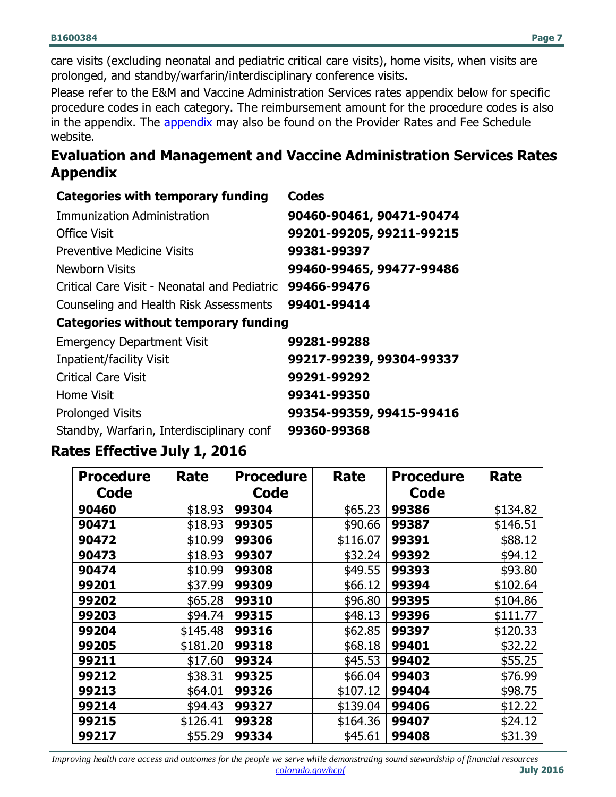care visits (excluding neonatal and pediatric critical care visits), home visits, when visits are prolonged, and standby/warfarin/interdisciplinary conference visits.

Please refer to the E&M and Vaccine Administration Services rates appendix below for specific procedure codes in each category. The reimbursement amount for the procedure codes is also in the [appendix](https://www.colorado.gov/pacific/sites/default/files/Evaluation%20and%20Management%20and%20Vaccine%20Administration%20Services%20Rates%200616.pdf). The appendix may also be found on the Provider Rates and Fee Schedule website.

#### **Evaluation and Management and Vaccine Administration Services Rates Appendix**

| <b>Categories with temporary funding</b>     | <b>Codes</b>             |
|----------------------------------------------|--------------------------|
| Immunization Administration                  | 90460-90461, 90471-90474 |
| <b>Office Visit</b>                          | 99201-99205, 99211-99215 |
| <b>Preventive Medicine Visits</b>            | 99381-99397              |
| <b>Newborn Visits</b>                        | 99460-99465, 99477-99486 |
| Critical Care Visit - Neonatal and Pediatric | 99466-99476              |
| Counseling and Health Risk Assessments       | 99401-99414              |
| <b>Categories without temporary funding</b>  |                          |
| <b>Emergency Department Visit</b>            | 99281-99288              |

| <b>Emergency Department Visit</b>         | 99281-99288              |
|-------------------------------------------|--------------------------|
| <b>Inpatient/facility Visit</b>           | 99217-99239, 99304-99337 |
| <b>Critical Care Visit</b>                | 99291-99292              |
| Home Visit                                | 99341-99350              |
| <b>Prolonged Visits</b>                   | 99354-99359, 99415-99416 |
| Standby, Warfarin, Interdisciplinary conf | 99360-99368              |

#### **Rates Effective July 1, 2016**

| <b>Procedure</b> | <b>Rate</b> | <b>Procedure</b> | Rate     | <b>Procedure</b> | <b>Rate</b> |
|------------------|-------------|------------------|----------|------------------|-------------|
| Code             |             | Code             |          | Code             |             |
| 90460            | \$18.93     | 99304            | \$65.23  | 99386            | \$134.82    |
| 90471            | \$18.93     | 99305            | \$90.66  | 99387            | \$146.51    |
| 90472            | \$10.99     | 99306            | \$116.07 | 99391            | \$88.12     |
| 90473            | \$18.93     | 99307            | \$32.24  | 99392            | \$94.12     |
| 90474            | \$10.99     | 99308            | \$49.55  | 99393            | \$93.80     |
| 99201            | \$37.99     | 99309            | \$66.12  | 99394            | \$102.64    |
| 99202            | \$65.28     | 99310            | \$96.80  | 99395            | \$104.86    |
| 99203            | \$94.74     | 99315            | \$48.13  | 99396            | \$111.77    |
| 99204            | \$145.48    | 99316            | \$62.85  | 99397            | \$120.33    |
| 99205            | \$181.20    | 99318            | \$68.18  | 99401            | \$32.22     |
| 99211            | \$17.60     | 99324            | \$45.53  | 99402            | \$55.25     |
| 99212            | \$38.31     | 99325            | \$66.04  | 99403            | \$76.99     |
| 99213            | \$64.01     | 99326            | \$107.12 | 99404            | \$98.75     |
| 99214            | \$94.43     | 99327            | \$139.04 | 99406            | \$12.22     |
| 99215            | \$126.41    | 99328            | \$164.36 | 99407            | \$24.12     |
| 99217            | \$55.29     | 99334            | \$45.61  | 99408            | \$31.39     |

*Improving health care access and outcomes for the people we serve while demonstrating sound stewardship of financial resources*<br>**July 2016**  $\frac{\text{color/}{\text{20}}\text{color/}{\text{20}}}{\text{color/}{\text{20}}\text{rule}}$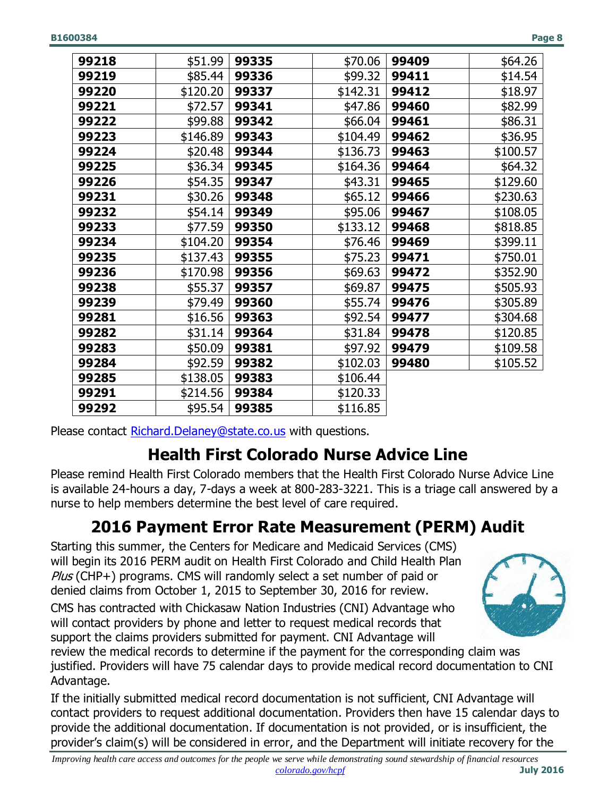| 99218 | \$51.99  | 99335 | \$70.06  | 99409 | \$64.26  |
|-------|----------|-------|----------|-------|----------|
| 99219 | \$85.44  | 99336 | \$99.32  | 99411 | \$14.54  |
| 99220 | \$120.20 | 99337 | \$142.31 | 99412 | \$18.97  |
| 99221 | \$72.57  | 99341 | \$47.86  | 99460 | \$82.99  |
| 99222 | \$99.88  | 99342 | \$66.04  | 99461 | \$86.31  |
| 99223 | \$146.89 | 99343 | \$104.49 | 99462 | \$36.95  |
| 99224 | \$20.48  | 99344 | \$136.73 | 99463 | \$100.57 |
| 99225 | \$36.34  | 99345 | \$164.36 | 99464 | \$64.32  |
| 99226 | \$54.35  | 99347 | \$43.31  | 99465 | \$129.60 |
| 99231 | \$30.26  | 99348 | \$65.12  | 99466 | \$230.63 |
| 99232 | \$54.14  | 99349 | \$95.06  | 99467 | \$108.05 |
| 99233 | \$77.59  | 99350 | \$133.12 | 99468 | \$818.85 |
| 99234 | \$104.20 | 99354 | \$76.46  | 99469 | \$399.11 |
| 99235 | \$137.43 | 99355 | \$75.23  | 99471 | \$750.01 |
| 99236 | \$170.98 | 99356 | \$69.63  | 99472 | \$352.90 |
| 99238 | \$55.37  | 99357 | \$69.87  | 99475 | \$505.93 |
| 99239 | \$79.49  | 99360 | \$55.74  | 99476 | \$305.89 |
| 99281 | \$16.56  | 99363 | \$92.54  | 99477 | \$304.68 |
| 99282 | \$31.14  | 99364 | \$31.84  | 99478 | \$120.85 |
| 99283 | \$50.09  | 99381 | \$97.92  | 99479 | \$109.58 |
| 99284 | \$92.59  | 99382 | \$102.03 | 99480 | \$105.52 |
| 99285 | \$138.05 | 99383 | \$106.44 |       |          |
| 99291 | \$214.56 | 99384 | \$120.33 |       |          |
| 99292 | \$95.54  | 99385 | \$116.85 |       |          |

<span id="page-7-0"></span>Please contact [Richard.Delaney@state.co.us](mailto:Richard.Delaney@state.co.us) with questions.

# **Health First Colorado Nurse Advice Line**

Please remind Health First Colorado members that the Health First Colorado Nurse Advice Line is available 24-hours a day, 7-days a week at 800-283-3221. This is a triage call answered by a nurse to help members determine the best level of care required.

# **2016 Payment Error Rate Measurement (PERM) Audit**

<span id="page-7-1"></span>Starting this summer, the Centers for Medicare and Medicaid Services (CMS) will begin its 2016 PERM audit on Health First Colorado and Child Health Plan Plus (CHP+) programs. CMS will randomly select a set number of paid or denied claims from October 1, 2015 to September 30, 2016 for review.

CMS has contracted with Chickasaw Nation Industries (CNI) Advantage who will contact providers by phone and letter to request medical records that support the claims providers submitted for payment. CNI Advantage will



review the medical records to determine if the payment for the corresponding claim was justified. Providers will have 75 calendar days to provide medical record documentation to CNI Advantage.

If the initially submitted medical record documentation is not sufficient, CNI Advantage will contact providers to request additional documentation. Providers then have 15 calendar days to provide the additional documentation. If documentation is not provided, or is insufficient, the provider's claim(s) will be considered in error, and the Department will initiate recovery for the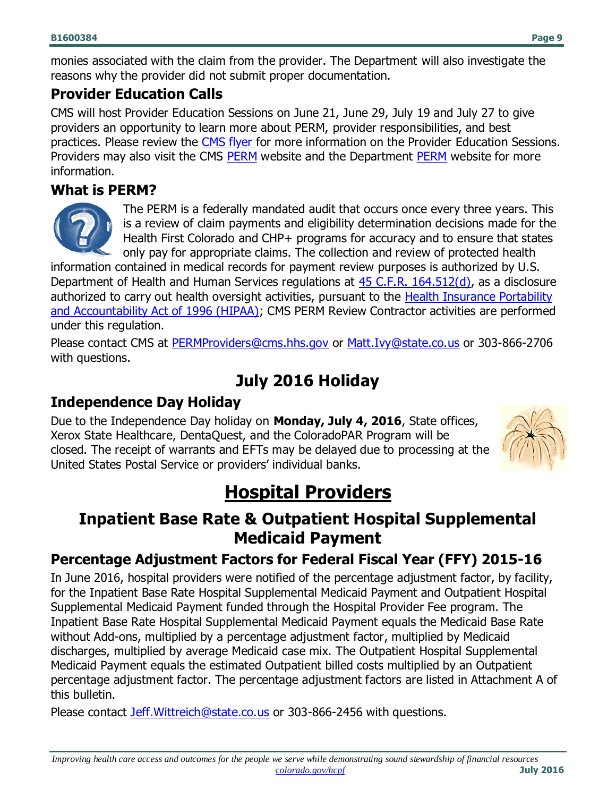monies associated with the claim from the provider. The Department will also investigate the reasons why the provider did not submit proper documentation.

#### **Provider Education Calls**

CMS will host Provider Education Sessions on June 21, June 29, July 19 and July 27 to give providers an opportunity to learn more about PERM, provider responsibilities, and best practices. Please review the [CMS flyer](https://www.cms.gov/Research-Statistics-Data-and-Systems/Monitoring-Programs/PERM/Downloads/2016EducationSessionInvitation.pdf) for more information on the Provider Education Sessions. Providers may also visit the CMS [PERM](https://www.colorado.gov/pacific/hcpf/payment-error-rate-measurement-perm) website and the Department PERM website for more information.

### **What is PERM?**



The PERM is a federally mandated audit that occurs once every three years. This is a review of claim payments and eligibility determination decisions made for the Health First Colorado and CHP+ programs for accuracy and to ensure that states only pay for appropriate claims. The collection and review of protected health

information contained in medical records for payment review purposes is authorized by U.S. Department of Health and Human Services regulations at [45 C.F.R. 164.512\(d\),](https://www.gpo.gov/fdsys/pkg/CFR-2015-title45-vol1/pdf/CFR-2015-title45-vol1-part164-subpartE.pdf) as a disclosure authorized to carry out health oversight activities, pursuant to the [Health Insurance Portability](https://www.colorado.gov/pacific/hcpf/health-insurance-portability-and-accountability-act-hipaa-0)  [and Accountability Act of 1996 \(HIPAA\);](https://www.colorado.gov/pacific/hcpf/health-insurance-portability-and-accountability-act-hipaa-0) CMS PERM Review Contractor activities are performed under this regulation.

Please contact CMS at [PERMProviders@cms.hhs.gov](mailto:PERMProviders@cms.hhs.gov) or [Matt.Ivy@state.co.us](mailto:Matt.Ivy@state.co.us) or 303-866-2706 with questions.

# **July 2016 Holiday**

## <span id="page-8-0"></span>**Independence Day Holiday**

Due to the Independence Day holiday on **Monday, July 4, 2016**, State offices, Xerox State Healthcare, DentaQuest, and the ColoradoPAR Program will be closed. The receipt of warrants and EFTs may be delayed due to processing at the United States Postal Service or providers' individual banks.



# **Hospital Providers**

## <span id="page-8-2"></span><span id="page-8-1"></span>**Inpatient Base Rate & Outpatient Hospital Supplemental Medicaid Payment**

## **Percentage Adjustment Factors for Federal Fiscal Year (FFY) 2015-16**

In June 2016, hospital providers were notified of the percentage adjustment factor, by facility, for the Inpatient Base Rate Hospital Supplemental Medicaid Payment and Outpatient Hospital Supplemental Medicaid Payment funded through the Hospital Provider Fee program. The Inpatient Base Rate Hospital Supplemental Medicaid Payment equals the Medicaid Base Rate without Add-ons, multiplied by a percentage adjustment factor, multiplied by Medicaid discharges, multiplied by average Medicaid case mix. The Outpatient Hospital Supplemental Medicaid Payment equals the estimated Outpatient billed costs multiplied by an Outpatient percentage adjustment factor. The percentage adjustment factors are listed in Attachment A of this bulletin.

Please contact [Jeff.Wittreich@state.co.us](mailto:Jeff.Wittreich@state.co.us) or 303-866-2456 with questions.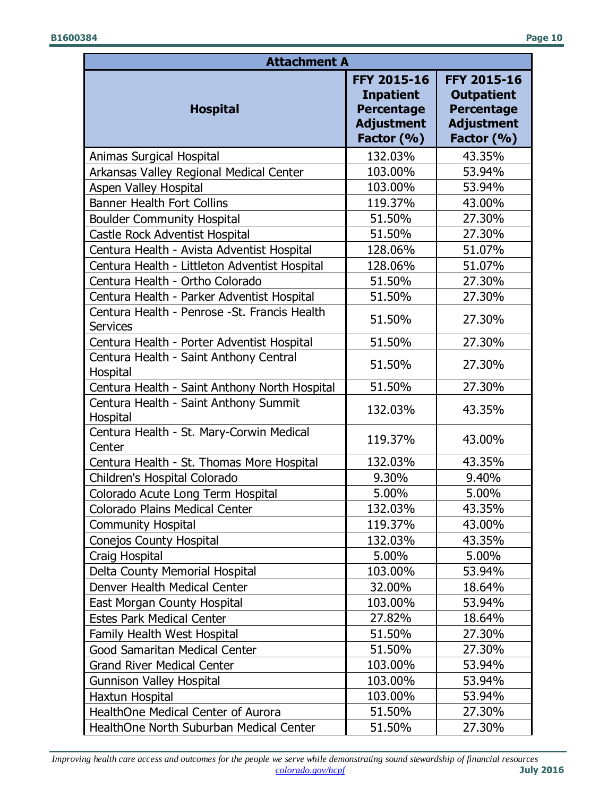| <b>Attachment A</b>                                              |                                                                                                |                                                                                                 |  |  |  |  |
|------------------------------------------------------------------|------------------------------------------------------------------------------------------------|-------------------------------------------------------------------------------------------------|--|--|--|--|
| <b>Hospital</b>                                                  | <b>FFY 2015-16</b><br><b>Inpatient</b><br><b>Percentage</b><br><b>Adjustment</b><br>Factor (%) | <b>FFY 2015-16</b><br><b>Outpatient</b><br><b>Percentage</b><br><b>Adjustment</b><br>Factor (%) |  |  |  |  |
| Animas Surgical Hospital                                         | 132.03%                                                                                        | 43.35%                                                                                          |  |  |  |  |
| Arkansas Valley Regional Medical Center                          | 103.00%                                                                                        | 53.94%                                                                                          |  |  |  |  |
| <b>Aspen Valley Hospital</b>                                     | 103.00%                                                                                        | 53.94%                                                                                          |  |  |  |  |
| <b>Banner Health Fort Collins</b>                                | 119.37%                                                                                        | 43.00%                                                                                          |  |  |  |  |
| <b>Boulder Community Hospital</b>                                | 51.50%                                                                                         | 27.30%                                                                                          |  |  |  |  |
| Castle Rock Adventist Hospital                                   | 51.50%                                                                                         | 27.30%                                                                                          |  |  |  |  |
| Centura Health - Avista Adventist Hospital                       | 128.06%                                                                                        | 51.07%                                                                                          |  |  |  |  |
| Centura Health - Littleton Adventist Hospital                    | 128.06%                                                                                        | 51.07%                                                                                          |  |  |  |  |
| Centura Health - Ortho Colorado                                  | 51.50%                                                                                         | 27.30%                                                                                          |  |  |  |  |
| Centura Health - Parker Adventist Hospital                       | 51.50%                                                                                         | 27.30%                                                                                          |  |  |  |  |
| Centura Health - Penrose - St. Francis Health<br><b>Services</b> | 51.50%                                                                                         | 27.30%                                                                                          |  |  |  |  |
| Centura Health - Porter Adventist Hospital                       | 51.50%                                                                                         | 27.30%                                                                                          |  |  |  |  |
| Centura Health - Saint Anthony Central<br>Hospital               | 51.50%                                                                                         | 27.30%                                                                                          |  |  |  |  |
| Centura Health - Saint Anthony North Hospital                    | 51.50%                                                                                         | 27.30%                                                                                          |  |  |  |  |
| Centura Health - Saint Anthony Summit<br>Hospital                | 132.03%                                                                                        | 43.35%                                                                                          |  |  |  |  |
| Centura Health - St. Mary-Corwin Medical<br>Center               | 119.37%                                                                                        | 43.00%                                                                                          |  |  |  |  |
| Centura Health - St. Thomas More Hospital                        | 132.03%                                                                                        | 43.35%                                                                                          |  |  |  |  |
| Children's Hospital Colorado                                     | 9.30%                                                                                          | 9.40%                                                                                           |  |  |  |  |
| Colorado Acute Long Term Hospital                                | 5.00%                                                                                          | 5.00%                                                                                           |  |  |  |  |
| Colorado Plains Medical Center                                   | 132.03%                                                                                        | 43.35%                                                                                          |  |  |  |  |
| <b>Community Hospital</b>                                        | 119.37%                                                                                        | 43.00%                                                                                          |  |  |  |  |
| <b>Conejos County Hospital</b>                                   | 132.03%                                                                                        | 43.35%                                                                                          |  |  |  |  |
| Craig Hospital                                                   | 5.00%                                                                                          | 5.00%                                                                                           |  |  |  |  |
| Delta County Memorial Hospital                                   | 103.00%                                                                                        | 53.94%                                                                                          |  |  |  |  |
| Denver Health Medical Center                                     | 32.00%                                                                                         | 18.64%                                                                                          |  |  |  |  |
| East Morgan County Hospital                                      | 103.00%                                                                                        | 53.94%                                                                                          |  |  |  |  |
| <b>Estes Park Medical Center</b>                                 | 27.82%                                                                                         | 18.64%                                                                                          |  |  |  |  |
| Family Health West Hospital                                      | 51.50%                                                                                         | 27.30%                                                                                          |  |  |  |  |
| Good Samaritan Medical Center                                    | 51.50%                                                                                         | 27.30%                                                                                          |  |  |  |  |
| <b>Grand River Medical Center</b>                                | 103.00%                                                                                        | 53.94%                                                                                          |  |  |  |  |
| <b>Gunnison Valley Hospital</b>                                  | 103.00%                                                                                        | 53.94%                                                                                          |  |  |  |  |
| Haxtun Hospital                                                  | 103.00%                                                                                        | 53.94%                                                                                          |  |  |  |  |
| HealthOne Medical Center of Aurora                               | 51.50%                                                                                         | 27.30%                                                                                          |  |  |  |  |
| HealthOne North Suburban Medical Center                          | 51.50%                                                                                         | 27.30%                                                                                          |  |  |  |  |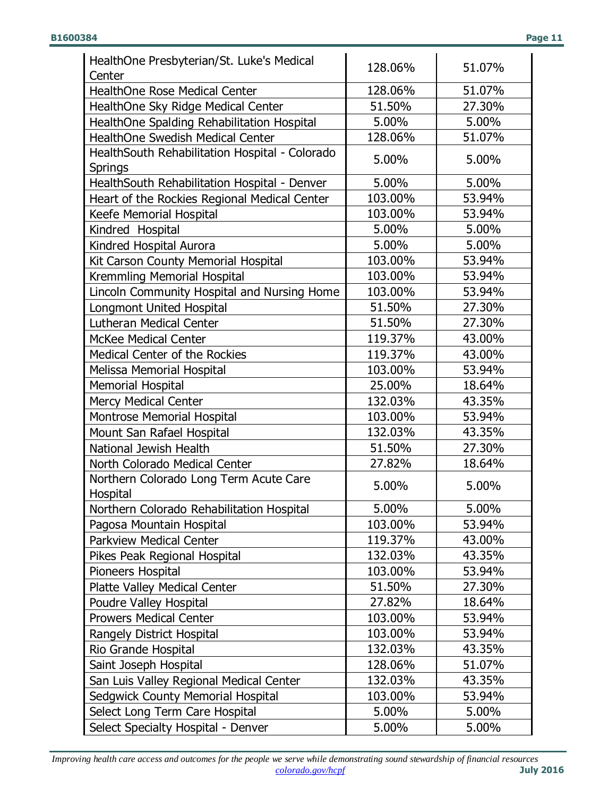| HealthOne Presbyterian/St. Luke's Medical                        | 128.06% | 51.07%           |
|------------------------------------------------------------------|---------|------------------|
| Center                                                           |         |                  |
| <b>HealthOne Rose Medical Center</b>                             | 128.06% | 51.07%<br>27.30% |
| HealthOne Sky Ridge Medical Center                               | 51.50%  |                  |
| HealthOne Spalding Rehabilitation Hospital                       | 5.00%   | 5.00%            |
| <b>HealthOne Swedish Medical Center</b>                          | 128.06% | 51.07%           |
| HealthSouth Rehabilitation Hospital - Colorado<br><b>Springs</b> | 5.00%   | 5.00%            |
| HealthSouth Rehabilitation Hospital - Denver                     | 5.00%   | 5.00%            |
| Heart of the Rockies Regional Medical Center                     | 103.00% | 53.94%           |
| Keefe Memorial Hospital                                          | 103.00% | 53.94%           |
| Kindred Hospital                                                 | 5.00%   | 5.00%            |
| Kindred Hospital Aurora                                          | 5.00%   | 5.00%            |
| Kit Carson County Memorial Hospital                              | 103.00% | 53.94%           |
| Kremmling Memorial Hospital                                      | 103.00% | 53.94%           |
| Lincoln Community Hospital and Nursing Home                      | 103.00% | 53.94%           |
| Longmont United Hospital                                         | 51.50%  | 27.30%           |
| <b>Lutheran Medical Center</b>                                   | 51.50%  | 27.30%           |
| <b>McKee Medical Center</b>                                      | 119.37% | 43.00%           |
| <b>Medical Center of the Rockies</b>                             | 119.37% | 43.00%           |
| Melissa Memorial Hospital                                        | 103.00% | 53.94%           |
| <b>Memorial Hospital</b>                                         | 25.00%  | 18.64%           |
| <b>Mercy Medical Center</b>                                      | 132.03% | 43.35%           |
| Montrose Memorial Hospital                                       | 103.00% | 53.94%           |
| Mount San Rafael Hospital                                        | 132.03% | 43.35%           |
| National Jewish Health                                           | 51.50%  | 27.30%           |
| North Colorado Medical Center                                    | 27.82%  | 18.64%           |
| Northern Colorado Long Term Acute Care<br>Hospital               | 5.00%   | 5.00%            |
| Northern Colorado Rehabilitation Hospital                        | 5.00%   | 5.00%            |
| Pagosa Mountain Hospital                                         | 103.00% | 53.94%           |
| <b>Parkview Medical Center</b>                                   | 119.37% | 43.00%           |
| Pikes Peak Regional Hospital                                     | 132.03% | 43.35%           |
| Pioneers Hospital                                                | 103.00% | 53.94%           |
| <b>Platte Valley Medical Center</b>                              | 51.50%  | 27.30%           |
| Poudre Valley Hospital                                           | 27.82%  | 18.64%           |
| <b>Prowers Medical Center</b>                                    | 103.00% | 53.94%           |
| Rangely District Hospital                                        | 103.00% | 53.94%           |
| Rio Grande Hospital                                              | 132.03% | 43.35%           |
| Saint Joseph Hospital                                            | 128.06% | 51.07%           |
| San Luis Valley Regional Medical Center                          | 132.03% | 43.35%           |
| Sedgwick County Memorial Hospital                                | 103.00% | 53.94%           |
| Select Long Term Care Hospital                                   | 5.00%   | 5.00%            |
| Select Specialty Hospital - Denver                               | 5.00%   | 5.00%            |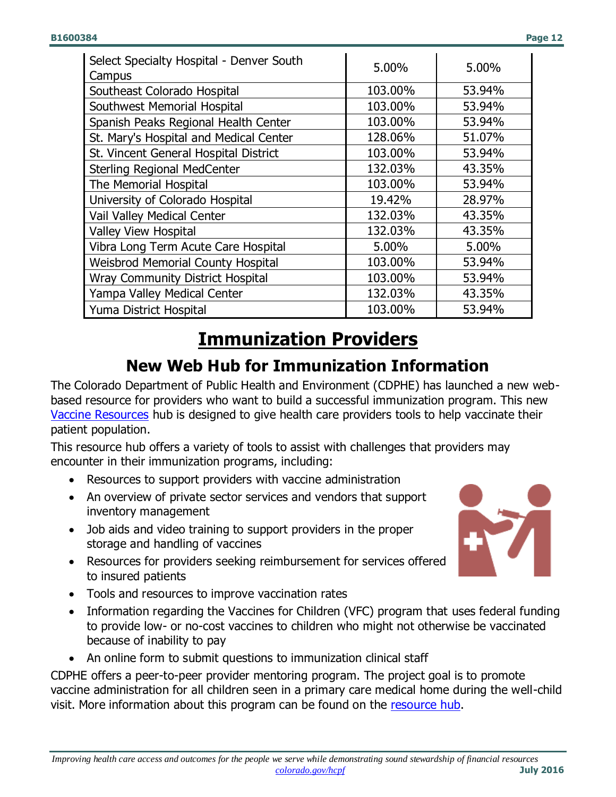| Select Specialty Hospital - Denver South<br>Campus | 5.00%   | 5.00%  |  |
|----------------------------------------------------|---------|--------|--|
| Southeast Colorado Hospital                        | 103.00% | 53.94% |  |
| Southwest Memorial Hospital                        | 103.00% | 53.94% |  |
| Spanish Peaks Regional Health Center               | 103.00% | 53.94% |  |
| St. Mary's Hospital and Medical Center             | 128.06% | 51.07% |  |
| St. Vincent General Hospital District              | 103.00% | 53.94% |  |
| <b>Sterling Regional MedCenter</b>                 | 132.03% | 43.35% |  |
| The Memorial Hospital                              | 103.00% | 53.94% |  |
| University of Colorado Hospital                    | 19.42%  | 28.97% |  |
| Vail Valley Medical Center                         | 132.03% | 43.35% |  |
| <b>Valley View Hospital</b>                        | 132.03% | 43.35% |  |
| Vibra Long Term Acute Care Hospital                | 5.00%   | 5.00%  |  |
| <b>Weisbrod Memorial County Hospital</b>           | 103.00% | 53.94% |  |
| <b>Wray Community District Hospital</b>            | 103.00% | 53.94% |  |
| Yampa Valley Medical Center                        | 132.03% | 43.35% |  |
| Yuma District Hospital                             | 103.00% | 53.94% |  |

# **Immunization Providers**

# **New Web Hub for Immunization Information**

<span id="page-11-1"></span><span id="page-11-0"></span>The Colorado Department of Public Health and Environment (CDPHE) has launched a new webbased resource for providers who want to build a successful immunization program. This new [Vaccine Resources](https://www.colorado.gov/pacific/cdphe/healthcare/vaccine-resources) hub is designed to give health care providers tools to help vaccinate their patient population.

This resource hub offers a variety of tools to assist with challenges that providers may encounter in their immunization programs, including:

- Resources to support providers with vaccine administration
- An overview of private sector services and vendors that support inventory management
- Job aids and video training to support providers in the proper storage and handling of vaccines
- Resources for providers seeking reimbursement for services offered to insured patients
- Tools and resources to improve vaccination rates
- Information regarding the Vaccines for Children (VFC) program that uses federal funding to provide low- or no-cost vaccines to children who might not otherwise be vaccinated because of inability to pay
- An online form to submit questions to immunization clinical staff

CDPHE offers a peer-to-peer provider mentoring program. The project goal is to promote vaccine administration for all children seen in a primary care medical home during the well-child visit. More information about this program can be found on the [resource hub.](https://www.colorado.gov/pacific/cdphe/healthcare/vaccine-resources)

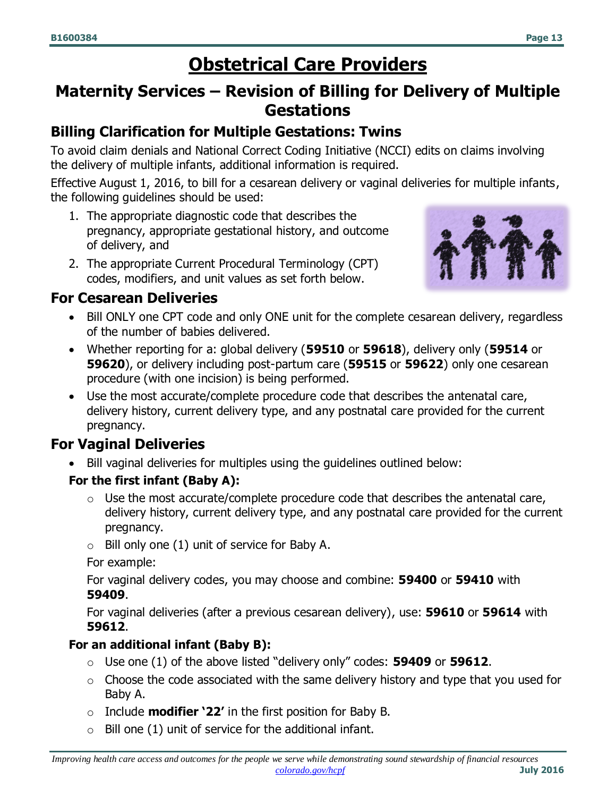# **Obstetrical Care Providers**

## <span id="page-12-1"></span><span id="page-12-0"></span>**Maternity Services – Revision of Billing for Delivery of Multiple Gestations**

### **Billing Clarification for Multiple Gestations: Twins**

To avoid claim denials and National Correct Coding Initiative (NCCI) edits on claims involving the delivery of multiple infants, additional information is required.

Effective August 1, 2016, to bill for a cesarean delivery or vaginal deliveries for multiple infants, the following guidelines should be used:

- 1. The appropriate diagnostic code that describes the pregnancy, appropriate gestational history, and outcome of delivery, and
- 2. The appropriate Current Procedural Terminology (CPT) codes, modifiers, and unit values as set forth below.



#### **For Cesarean Deliveries**

- Bill ONLY one CPT code and only ONE unit for the complete cesarean delivery, regardless of the number of babies delivered.
- Whether reporting for a: global delivery (**59510** or **59618**), delivery only (**59514** or **59620**), or delivery including post-partum care (**59515** or **59622**) only one cesarean procedure (with one incision) is being performed.
- Use the most accurate/complete procedure code that describes the antenatal care, delivery history, current delivery type, and any postnatal care provided for the current pregnancy.

## **For Vaginal Deliveries**

Bill vaginal deliveries for multiples using the guidelines outlined below:

#### **For the first infant (Baby A):**

- o Use the most accurate/complete procedure code that describes the antenatal care, delivery history, current delivery type, and any postnatal care provided for the current pregnancy.
- $\circ$  Bill only one (1) unit of service for Baby A.

For example:

For vaginal delivery codes, you may choose and combine: **59400** or **59410** with **59409**.

For vaginal deliveries (after a previous cesarean delivery), use: **59610** or **59614** with **59612**.

#### **For an additional infant (Baby B):**

- o Use one (1) of the above listed "delivery only" codes: **59409** or **59612**.
- $\circ$  Choose the code associated with the same delivery history and type that you used for Baby A.
- o Include **modifier '22'** in the first position for Baby B.
- $\circ$  Bill one (1) unit of service for the additional infant.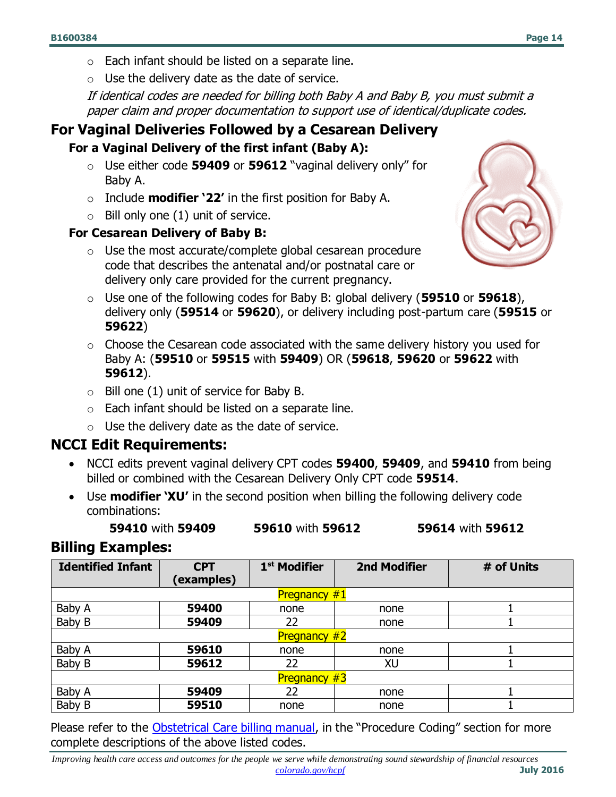- o Each infant should be listed on a separate line.
- $\circ$  Use the delivery date as the date of service.

If identical codes are needed for billing both Baby A and Baby B, you must submit a paper claim and proper documentation to support use of identical/duplicate codes.

#### **For Vaginal Deliveries Followed by a Cesarean Delivery**

#### **For a Vaginal Delivery of the first infant (Baby A):**

- o Use either code **59409** or **59612** "vaginal delivery only" for Baby A.
- o Include **modifier '22'** in the first position for Baby A.
- $\circ$  Bill only one (1) unit of service.

#### **For Cesarean Delivery of Baby B:**

 $\circ$  Use the most accurate/complete global cesarean procedure code that describes the antenatal and/or postnatal care or delivery only care provided for the current pregnancy.



- o Use one of the following codes for Baby B: global delivery (**59510** or **59618**), delivery only (**59514** or **59620**), or delivery including post-partum care (**59515** or **59622**)
- $\circ$  Choose the Cesarean code associated with the same delivery history you used for Baby A: (**59510** or **59515** with **59409**) OR (**59618**, **59620** or **59622** with **59612**).
- $\circ$  Bill one (1) unit of service for Baby B.
- $\circ$  Each infant should be listed on a separate line.
- $\circ$  Use the delivery date as the date of service.

#### **NCCI Edit Requirements:**

- NCCI edits prevent vaginal delivery CPT codes **59400**, **59409**, and **59410** from being billed or combined with the Cesarean Delivery Only CPT code **59514**.
- Use **modifier 'XU'** in the second position when billing the following delivery code combinations:

**59410** with **59409 59610** with **59612 59614** with **59612**

#### **Billing Examples:**

| <b>Identified Infant</b> | <b>CPT</b><br>(examples) | 1 <sup>st</sup> Modifier | <b>2nd Modifier</b> | # of Units |  |
|--------------------------|--------------------------|--------------------------|---------------------|------------|--|
| <b>Pregnancy #1</b>      |                          |                          |                     |            |  |
| Baby A                   | 59400                    | none                     | none                |            |  |
| Baby B                   | 59409                    | 22                       | none                |            |  |
| <b>Pregnancy #2</b>      |                          |                          |                     |            |  |
| Baby A                   | 59610                    | none                     | none                |            |  |
| Baby B                   | 59612                    | 22                       | XU                  |            |  |
| <b>Pregnancy #3</b>      |                          |                          |                     |            |  |
| Baby A                   | 59409                    | 22                       | none                |            |  |
| Baby B                   | 59510                    | none                     | none                |            |  |

Please refer to the [Obstetrical Care billing manual](https://www.colorado.gov/pacific/sites/default/files/CMS1500_OB_7.pdf), in the "Procedure Coding" section for more complete descriptions of the above listed codes.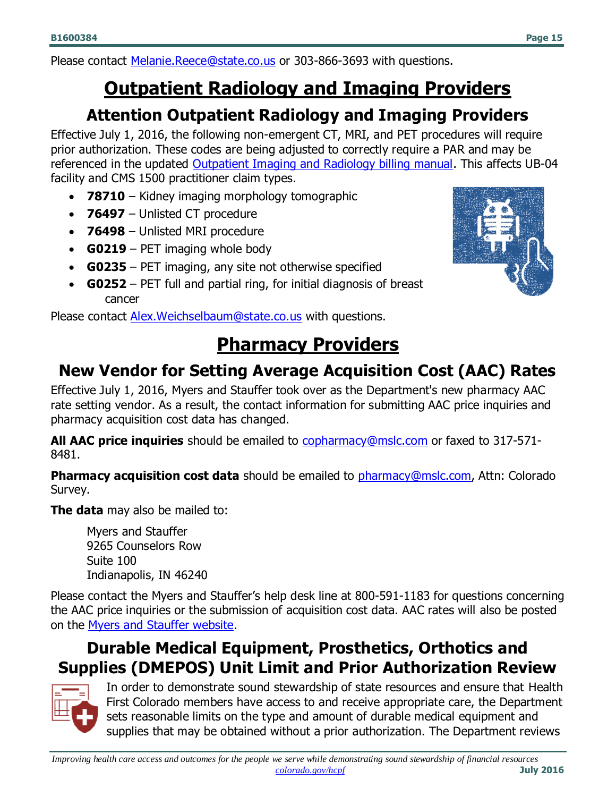# <span id="page-14-0"></span>**Outpatient Radiology and Imaging Providers**

## **Attention Outpatient Radiology and Imaging Providers**

<span id="page-14-1"></span>Effective July 1, 2016, the following non-emergent CT, MRI, and PET procedures will require prior authorization. These codes are being adjusted to correctly require a PAR and may be referenced in the updated [Outpatient Imaging and Radiology billing manual.](https://www.colorado.gov/pacific/sites/default/files/CMS1500_Outpatient_Imaging_and_Radiology_8.pdf) This affects UB-04 facility and CMS 1500 practitioner claim types.

- **78710** Kidney imaging morphology tomographic
- **76497** Unlisted CT procedure
- **76498** Unlisted MRI procedure
- **G0219** PET imaging whole body
- **G0235** PET imaging, any site not otherwise specified
- **G0252** PET full and partial ring, for initial diagnosis of breast cancer

<span id="page-14-2"></span>Please contact [Alex.Weichselbaum@state.co.us](mailto:Alex.Weichselbaum@state.co.us) with questions.

# **Pharmacy Providers**

# <span id="page-14-3"></span>**New Vendor for Setting Average Acquisition Cost (AAC) Rates**

Effective July 1, 2016, Myers and Stauffer took over as the Department's new pharmacy AAC rate setting vendor. As a result, the contact information for submitting AAC price inquiries and pharmacy acquisition cost data has changed.

**All AAC price inquiries** should be emailed to [copharmacy@mslc.com](mailto:copharmacy@mslc.com) or faxed to 317-571- 8481.

**Pharmacy acquisition cost data** should be emailed to **pharmacy@mslc.com**, Attn: Colorado Survey.

**The data** may also be mailed to:

Myers and Stauffer 9265 Counselors Row Suite 100 Indianapolis, IN 46240

Please contact the Myers and Stauffer's help desk line at 800-591-1183 for questions concerning the AAC price inquiries or the submission of acquisition cost data. AAC rates will also be posted on the [Myers and Stauffer website.](http://www.mslc.com/Colorado)

## <span id="page-14-4"></span>**Durable Medical Equipment, Prosthetics, Orthotics and Supplies (DMEPOS) Unit Limit and Prior Authorization Review**



In order to demonstrate sound stewardship of state resources and ensure that Health First Colorado members have access to and receive appropriate care, the Department sets reasonable limits on the type and amount of durable medical equipment and supplies that may be obtained without a prior authorization. The Department reviews



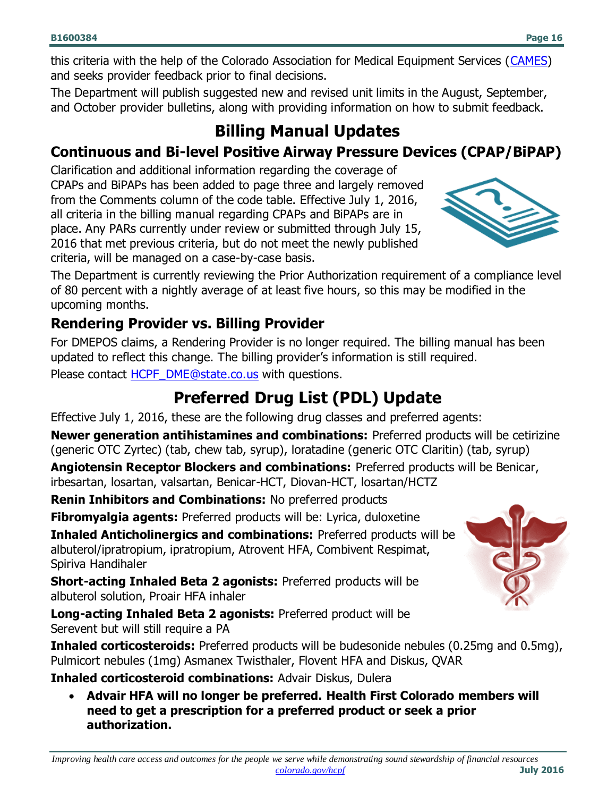this criteria with the help of the Colorado Association for Medical Equipment Services [\(CAMES\)](http://cames.org/) and seeks provider feedback prior to final decisions.

<span id="page-15-0"></span>The Department will publish suggested new and revised unit limits in the August, September, and October provider bulletins, along with providing information on how to submit feedback.

# **Billing Manual Updates**

### **Continuous and Bi-level Positive Airway Pressure Devices (CPAP/BiPAP)**

Clarification and additional information regarding the coverage of CPAPs and BiPAPs has been added to page three and largely removed from the Comments column of the code table. Effective July 1, 2016, all criteria in the billing manual regarding CPAPs and BiPAPs are in place. Any PARs currently under review or submitted through July 15, 2016 that met previous criteria, but do not meet the newly published criteria, will be managed on a case-by-case basis.

The Department is currently reviewing the Prior Authorization requirement of a compliance level of 80 percent with a nightly average of at least five hours, so this may be modified in the upcoming months.

### **Rendering Provider vs. Billing Provider**

For DMEPOS claims, a Rendering Provider is no longer required. The billing manual has been updated to reflect this change. The billing provider's information is still required.

<span id="page-15-1"></span>Please contact **HCPF** DME@state.co.us with questions.

# **Preferred Drug List (PDL) Update**

Effective July 1, 2016, these are the following drug classes and preferred agents:

**Newer generation antihistamines and combinations:** Preferred products will be cetirizine (generic OTC Zyrtec) (tab, chew tab, syrup), loratadine (generic OTC Claritin) (tab, syrup)

**Angiotensin Receptor Blockers and combinations:** Preferred products will be Benicar, irbesartan, losartan, valsartan, Benicar-HCT, Diovan-HCT, losartan/HCTZ

**Renin Inhibitors and Combinations:** No preferred products

**Fibromyalgia agents:** Preferred products will be: Lyrica, duloxetine

**Inhaled Anticholinergics and combinations:** Preferred products will be albuterol/ipratropium, ipratropium, Atrovent HFA, Combivent Respimat, Spiriva Handihaler

**Short-acting Inhaled Beta 2 agonists:** Preferred products will be albuterol solution, Proair HFA inhaler

**Long-acting Inhaled Beta 2 agonists:** Preferred product will be Serevent but will still require a PA

**Inhaled corticosteroids:** Preferred products will be budesonide nebules (0.25mg and 0.5mg), Pulmicort nebules (1mg) Asmanex Twisthaler, Flovent HFA and Diskus, QVAR

**Inhaled corticosteroid combinations:** Advair Diskus, Dulera

 **Advair HFA will no longer be preferred. Health First Colorado members will need to get a prescription for a preferred product or seek a prior authorization.**



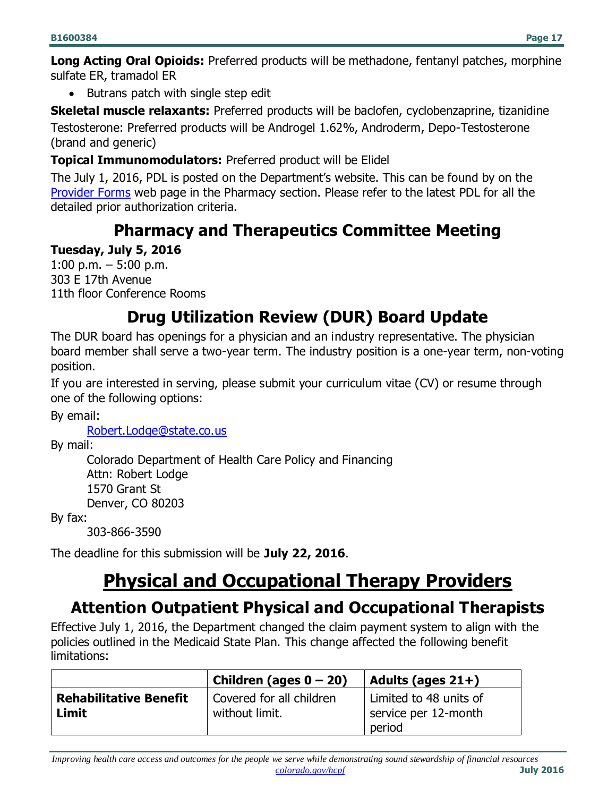**Long Acting Oral Opioids:** Preferred products will be methadone, fentanyl patches, morphine sulfate ER, tramadol ER

• Butrans patch with single step edit

**Skeletal muscle relaxants:** Preferred products will be baclofen, cyclobenzaprine, tizanidine Testosterone: Preferred products will be Androgel 1.62%, Androderm, Depo-Testosterone (brand and generic)

#### **Topical Immunomodulators:** Preferred product will be Elidel

The July 1, 2016, PDL is posted on the Department's website. This can be found by on the [Provider Forms](https://www.colorado.gov/pacific/hcpf/provider-forms) web page in the Pharmacy section. Please refer to the latest PDL for all the detailed prior authorization criteria.

## **Pharmacy and Therapeutics Committee Meeting**

#### <span id="page-16-0"></span>**Tuesday, July 5, 2016**

1:00 p.m.  $-5:00$  p.m. 303 E 17th Avenue 11th floor Conference Rooms

## **Drug Utilization Review (DUR) Board Update**

<span id="page-16-1"></span>The DUR board has openings for a physician and an industry representative. The physician board member shall serve a two-year term. The industry position is a one-year term, non-voting position.

If you are interested in serving, please submit your curriculum vitae (CV) or resume through one of the following options:

By email:

[Robert.Lodge@state.co.us](mailto:Robert.Lodge@state.co.us)

By mail:

Colorado Department of Health Care Policy and Financing Attn: Robert Lodge 1570 Grant St Denver, CO 80203

By fax:

303-866-3590

<span id="page-16-2"></span>The deadline for this submission will be **July 22, 2016**.

# **Physical and Occupational Therapy Providers**

## <span id="page-16-3"></span>**Attention Outpatient Physical and Occupational Therapists**

Effective July 1, 2016, the Department changed the claim payment system to align with the policies outlined in the Medicaid State Plan. This change affected the following benefit limitations:

|                                        | Children (ages $0 - 20$ )                  | Adults (ages $21+$ )                           |
|----------------------------------------|--------------------------------------------|------------------------------------------------|
| <b>Rehabilitative Benefit</b><br>Limit | Covered for all children<br>without limit. | Limited to 48 units of<br>service per 12-month |
|                                        |                                            | period                                         |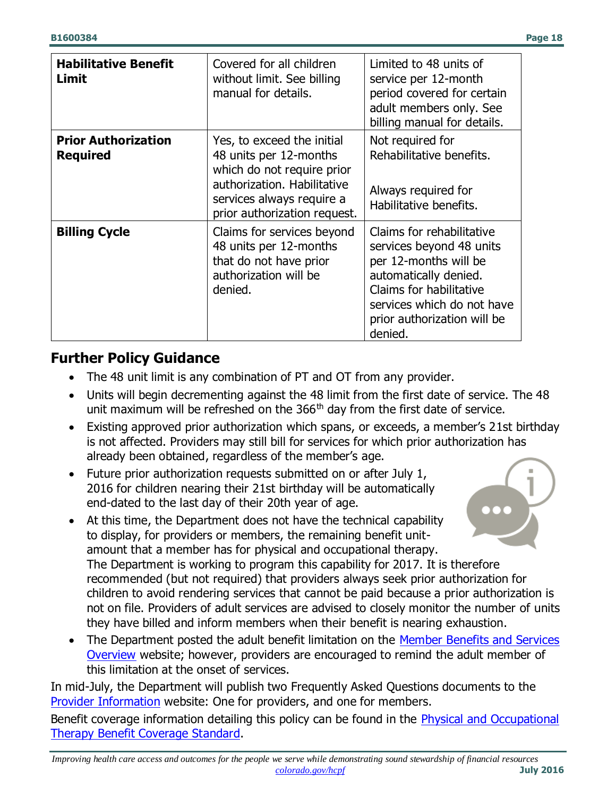| <b>Habilitative Benefit</b><br>Limit          | Covered for all children<br>without limit. See billing<br>manual for details.                                                                                                  | Limited to 48 units of<br>service per 12-month<br>period covered for certain<br>adult members only. See<br>billing manual for details.                                                                     |
|-----------------------------------------------|--------------------------------------------------------------------------------------------------------------------------------------------------------------------------------|------------------------------------------------------------------------------------------------------------------------------------------------------------------------------------------------------------|
| <b>Prior Authorization</b><br><b>Required</b> | Yes, to exceed the initial<br>48 units per 12-months<br>which do not require prior<br>authorization. Habilitative<br>services always require a<br>prior authorization request. | Not required for<br>Rehabilitative benefits.<br>Always required for<br>Habilitative benefits.                                                                                                              |
| <b>Billing Cycle</b>                          | Claims for services beyond<br>48 units per 12-months<br>that do not have prior<br>authorization will be<br>denied.                                                             | Claims for rehabilitative<br>services beyond 48 units<br>per 12-months will be<br>automatically denied.<br>Claims for habilitative<br>services which do not have<br>prior authorization will be<br>denied. |

#### **Further Policy Guidance**

- The 48 unit limit is any combination of PT and OT from any provider.
- Units will begin decrementing against the 48 limit from the first date of service. The 48 unit maximum will be refreshed on the  $366<sup>th</sup>$  day from the first date of service.
- Existing approved prior authorization which spans, or exceeds, a member's 21st birthday is not affected. Providers may still bill for services for which prior authorization has already been obtained, regardless of the member's age.
- Future prior authorization requests submitted on or after July 1, 2016 for children nearing their 21st birthday will be automatically end-dated to the last day of their 20th year of age.
- $\bullet\bullet\bullet$  At this time, the Department does not have the technical capability to display, for providers or members, the remaining benefit unitamount that a member has for physical and occupational therapy. The Department is working to program this capability for 2017. It is therefore recommended (but not required) that providers always seek prior authorization for children to avoid rendering services that cannot be paid because a prior authorization is not on file. Providers of adult services are advised to closely monitor the number of units they have billed and inform members when their benefit is nearing exhaustion.
- The Department posted the adult benefit limitation on the Member Benefits and Services [Overview](https://www.colorado.gov/hcpf/colorado-medicaid-benefits-services-overview) website; however, providers are encouraged to remind the adult member of this limitation at the onset of services.

In mid-July, the Department will publish two Frequently Asked Questions documents to the [Provider Information](https://www.colorado.gov/pacific/hcpf/provider-information) website: One for providers, and one for members.

Benefit coverage information detailing this policy can be found in the [Physical and Occupational](https://www.colorado.gov/pacific/hcpf/benefits-collaborative-approved-benefits-standards)  [Therapy Benefit Coverage Standard.](https://www.colorado.gov/pacific/hcpf/benefits-collaborative-approved-benefits-standards)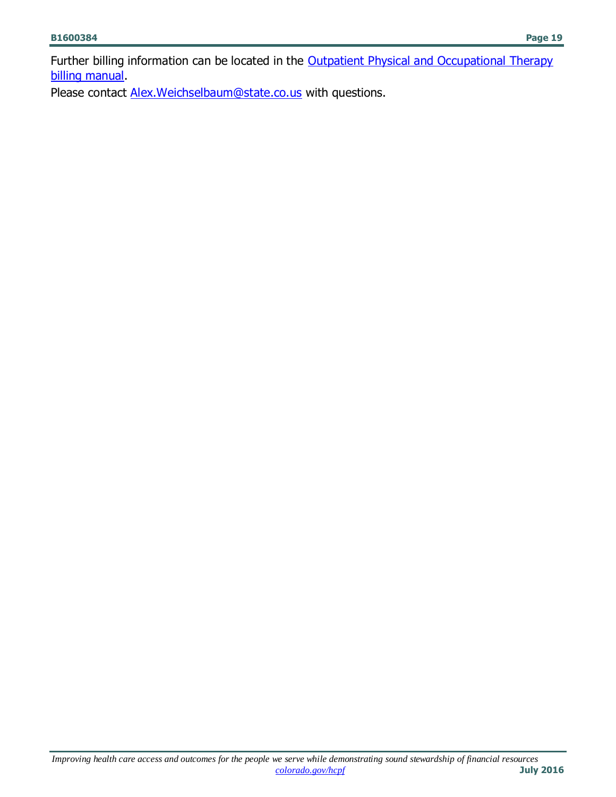Further billing information can be located in the Outpatient Physical and Occupational Therapy [billing manual.](https://www.colorado.gov/pacific/hcpf/billing-manuals)

Please contact **Alex.Weichselbaum@state.co.us** with questions.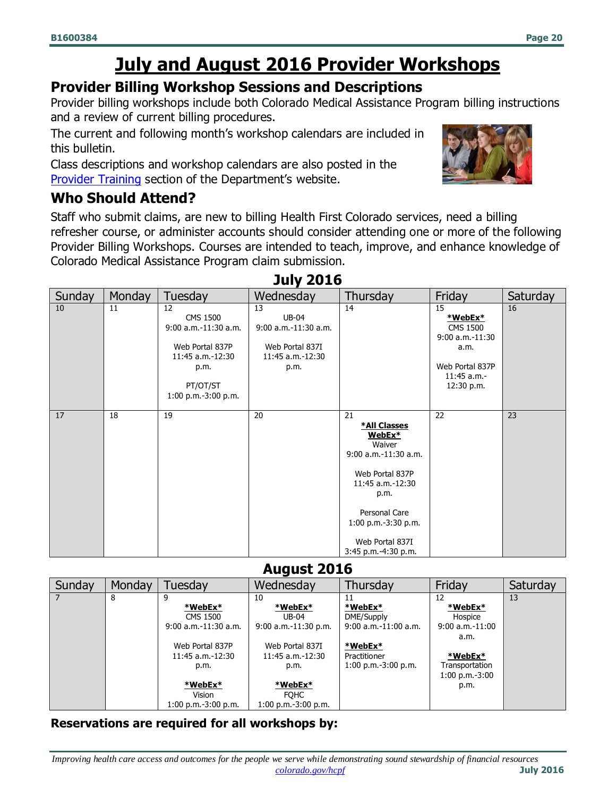# **July and August 2016 Provider Workshops**

#### <span id="page-19-0"></span>**Provider Billing Workshop Sessions and Descriptions**

Provider billing workshops include both Colorado Medical Assistance Program billing instructions and a review of current billing procedures.

The current and following month's workshop calendars are included in this bulletin.

Class descriptions and workshop calendars are also posted in the [Provider Training](https://www.colorado.gov/hcpf/provider-training) section of the Department's website.

### **Who Should Attend?**

Staff who submit claims, are new to billing Health First Colorado services, need a billing refresher course, or administer accounts should consider attending one or more of the following Provider Billing Workshops. Courses are intended to teach, improve, and enhance knowledge of Colorado Medical Assistance Program claim submission.

| Sunday | Monday | Tuesday                                                                                                                         | Wednesday                                                                                 | Thursday                                                                                                                                                                                          | Friday                                                                                                        | Saturday |
|--------|--------|---------------------------------------------------------------------------------------------------------------------------------|-------------------------------------------------------------------------------------------|---------------------------------------------------------------------------------------------------------------------------------------------------------------------------------------------------|---------------------------------------------------------------------------------------------------------------|----------|
| 10     | 11     | 12<br><b>CMS 1500</b><br>9:00 a.m.-11:30 a.m.<br>Web Portal 837P<br>11:45 a.m.-12:30<br>p.m.<br>PT/OT/ST<br>1:00 p.m.-3:00 p.m. | 13<br><b>UB-04</b><br>9:00 a.m.-11:30 a.m.<br>Web Portal 837I<br>11:45 a.m.-12:30<br>p.m. | 14                                                                                                                                                                                                | 15<br>*WebEx*<br><b>CMS 1500</b><br>$9:00 a.m.-11:30$<br>a.m.<br>Web Portal 837P<br>11:45 a.m.-<br>12:30 p.m. | 16       |
| 17     | 18     | 19                                                                                                                              | 20                                                                                        | 21<br>*All Classes<br>WebEx*<br>Waiver<br>9:00 a.m.-11:30 a.m.<br>Web Portal 837P<br>11:45 a.m.-12:30<br>p.m.<br>Personal Care<br>$1:00$ p.m.-3:30 p.m.<br>Web Portal 837I<br>3:45 p.m.-4:30 p.m. | 22                                                                                                            | 23       |

#### **July 2016**

#### **August 2016**

| Sunday | Monday | Tuesdav                                                                                                                    | Wednesday                                                                                                            | Thursday                                                                                                              | Friday                                                                                                             | Saturday |
|--------|--------|----------------------------------------------------------------------------------------------------------------------------|----------------------------------------------------------------------------------------------------------------------|-----------------------------------------------------------------------------------------------------------------------|--------------------------------------------------------------------------------------------------------------------|----------|
|        | 8      | 9<br>$*$ WebEx $*$<br>CMS 1500<br>$9:00$ a.m. $-11:30$ a.m.<br>Web Portal 837P<br>$11:45$ a.m.- $12:30$<br>p.m.<br>*WebEx* | 10<br>*WebEx*<br><b>UB-04</b><br>$9:00$ a.m. $-11:30$ p.m.<br>Web Portal 837I<br>11:45 a.m.-12:30<br>p.m.<br>*WebEx* | 11<br>$*$ WebEx $*$<br>DME/Supply<br>$9:00$ a.m.-11:00 a.m.<br>$*$ WebEx $*$<br>Practitioner<br>$1:00$ p.m.-3:00 p.m. | 12<br>*WebEx*<br>Hospice<br>$9:00 a.m.-11:00$<br>a.m.<br>$*$ WebEx $*$<br>Transportation<br>1:00 p.m.-3:00<br>p.m. | 13       |
|        |        | Vision<br>$1:00$ p.m.-3:00 p.m.                                                                                            | <b>FOHC</b><br>$1:00$ p.m.-3:00 p.m.                                                                                 |                                                                                                                       |                                                                                                                    |          |

#### **Reservations are required for all workshops by:**

*Improving health care access and outcomes for the people we serve while demonstrating sound stewardship of financial resources [colorado.gov/hcpf](http://colorado.gov/hcpf)* **July 2016**